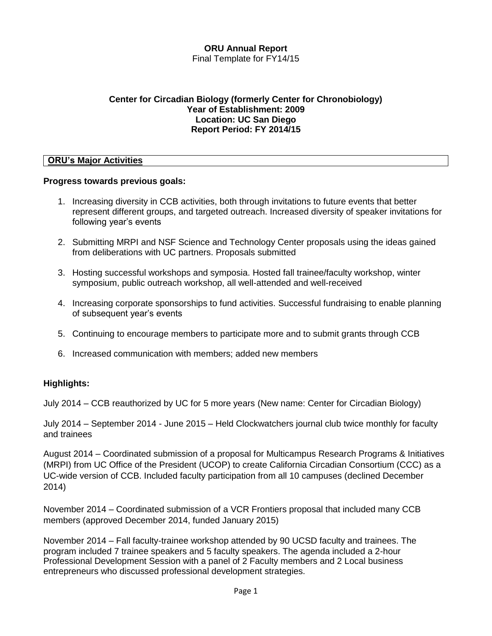#### **ORU Annual Report** Final Template for FY14/15

#### **Center for Circadian Biology (formerly Center for Chronobiology) Year of Establishment: 2009 Location: UC San Diego Report Period: FY 2014/15**

#### **ORU's Major Activities**

#### **Progress towards previous goals:**

- 1. Increasing diversity in CCB activities, both through invitations to future events that better represent different groups, and targeted outreach. Increased diversity of speaker invitations for following year's events
- 2. Submitting MRPI and NSF Science and Technology Center proposals using the ideas gained from deliberations with UC partners. Proposals submitted
- 3. Hosting successful workshops and symposia. Hosted fall trainee/faculty workshop, winter symposium, public outreach workshop, all well-attended and well-received
- 4. Increasing corporate sponsorships to fund activities. Successful fundraising to enable planning of subsequent year's events
- 5. Continuing to encourage members to participate more and to submit grants through CCB
- 6. Increased communication with members; added new members

#### **Highlights:**

July 2014 – CCB reauthorized by UC for 5 more years (New name: Center for Circadian Biology)

July 2014 – September 2014 - June 2015 – Held Clockwatchers journal club twice monthly for faculty and trainees

August 2014 – Coordinated submission of a proposal for Multicampus Research Programs & Initiatives (MRPI) from UC Office of the President (UCOP) to create California Circadian Consortium (CCC) as a UC-wide version of CCB. Included faculty participation from all 10 campuses (declined December 2014)

November 2014 – Coordinated submission of a VCR Frontiers proposal that included many CCB members (approved December 2014, funded January 2015)

November 2014 – Fall faculty-trainee workshop attended by 90 UCSD faculty and trainees. The program included 7 trainee speakers and 5 faculty speakers. The agenda included a 2-hour Professional Development Session with a panel of 2 Faculty members and 2 Local business entrepreneurs who discussed professional development strategies.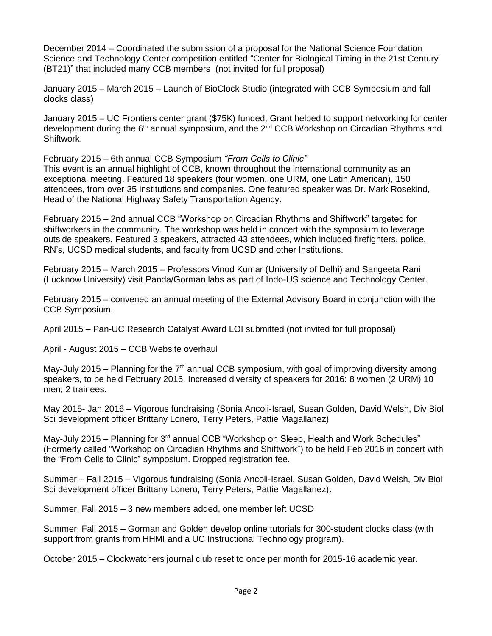December 2014 – Coordinated the submission of a proposal for the National Science Foundation Science and Technology Center competition entitled "Center for Biological Timing in the 21st Century (BT21)" that included many CCB members (not invited for full proposal)

January 2015 – March 2015 – Launch of BioClock Studio (integrated with CCB Symposium and fall clocks class)

January 2015 – UC Frontiers center grant (\$75K) funded, Grant helped to support networking for center development during the 6<sup>th</sup> annual symposium, and the 2<sup>nd</sup> CCB Workshop on Circadian Rhythms and Shiftwork.

February 2015 – 6th annual CCB Symposium *"From Cells to Clinic"*

This event is an annual highlight of CCB, known throughout the international community as an exceptional meeting. Featured 18 speakers (four women, one URM, one Latin American), 150 attendees, from over 35 institutions and companies. One featured speaker was Dr. Mark Rosekind, Head of the National Highway Safety Transportation Agency.

February 2015 – 2nd annual CCB "Workshop on Circadian Rhythms and Shiftwork" targeted for shiftworkers in the community. The workshop was held in concert with the symposium to leverage outside speakers. Featured 3 speakers, attracted 43 attendees, which included firefighters, police, RN's, UCSD medical students, and faculty from UCSD and other Institutions.

February 2015 – March 2015 – Professors Vinod Kumar (University of Delhi) and Sangeeta Rani (Lucknow University) visit Panda/Gorman labs as part of Indo-US science and Technology Center.

February 2015 – convened an annual meeting of the External Advisory Board in conjunction with the CCB Symposium.

April 2015 – Pan-UC Research Catalyst Award LOI submitted (not invited for full proposal)

April - August 2015 – CCB Website overhaul

May-July 2015 – Planning for the  $7<sup>th</sup>$  annual CCB symposium, with goal of improving diversity among speakers, to be held February 2016. Increased diversity of speakers for 2016: 8 women (2 URM) 10 men; 2 trainees.

May 2015- Jan 2016 – Vigorous fundraising (Sonia Ancoli-Israel, Susan Golden, David Welsh, Div Biol Sci development officer Brittany Lonero, Terry Peters, Pattie Magallanez)

May-July 2015 – Planning for  $3<sup>rd</sup>$  annual CCB "Workshop on Sleep, Health and Work Schedules" (Formerly called "Workshop on Circadian Rhythms and Shiftwork") to be held Feb 2016 in concert with the "From Cells to Clinic" symposium. Dropped registration fee.

Summer – Fall 2015 – Vigorous fundraising (Sonia Ancoli-Israel, Susan Golden, David Welsh, Div Biol Sci development officer Brittany Lonero, Terry Peters, Pattie Magallanez).

Summer, Fall 2015 – 3 new members added, one member left UCSD

Summer, Fall 2015 – Gorman and Golden develop online tutorials for 300-student clocks class (with support from grants from HHMI and a UC Instructional Technology program).

October 2015 – Clockwatchers journal club reset to once per month for 2015-16 academic year.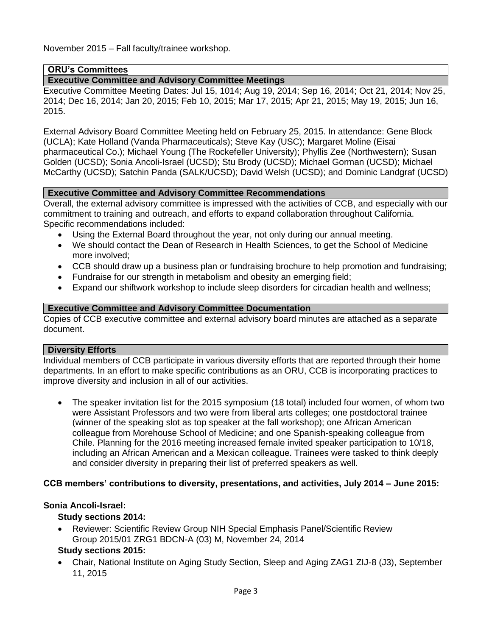November 2015 – Fall faculty/trainee workshop.

#### **ORU's Committees**

### **Executive Committee and Advisory Committee Meetings**

Executive Committee Meeting Dates: Jul 15, 1014; Aug 19, 2014; Sep 16, 2014; Oct 21, 2014; Nov 25, 2014; Dec 16, 2014; Jan 20, 2015; Feb 10, 2015; Mar 17, 2015; Apr 21, 2015; May 19, 2015; Jun 16, 2015.

External Advisory Board Committee Meeting held on February 25, 2015. In attendance: Gene Block (UCLA); Kate Holland (Vanda Pharmaceuticals); Steve Kay (USC); Margaret Moline (Eisai pharmaceutical Co.); Michael Young (The Rockefeller University); Phyllis Zee (Northwestern); Susan Golden (UCSD); Sonia Ancoli-Israel (UCSD); Stu Brody (UCSD); Michael Gorman (UCSD); Michael McCarthy (UCSD); Satchin Panda (SALK/UCSD); David Welsh (UCSD); and Dominic Landgraf (UCSD)

#### **Executive Committee and Advisory Committee Recommendations**

Overall, the external advisory committee is impressed with the activities of CCB, and especially with our commitment to training and outreach, and efforts to expand collaboration throughout California. Specific recommendations included:

- Using the External Board throughout the year, not only during our annual meeting.
- We should contact the Dean of Research in Health Sciences, to get the School of Medicine more involved;
- CCB should draw up a business plan or fundraising brochure to help promotion and fundraising;
- Fundraise for our strength in metabolism and obesity an emerging field;
- Expand our shiftwork workshop to include sleep disorders for circadian health and wellness;

#### **Executive Committee and Advisory Committee Documentation**

Copies of CCB executive committee and external advisory board minutes are attached as a separate document.

#### **Diversity Efforts**

Individual members of CCB participate in various diversity efforts that are reported through their home departments. In an effort to make specific contributions as an ORU, CCB is incorporating practices to improve diversity and inclusion in all of our activities.

 The speaker invitation list for the 2015 symposium (18 total) included four women, of whom two were Assistant Professors and two were from liberal arts colleges; one postdoctoral trainee (winner of the speaking slot as top speaker at the fall workshop); one African American colleague from Morehouse School of Medicine; and one Spanish-speaking colleague from Chile. Planning for the 2016 meeting increased female invited speaker participation to 10/18, including an African American and a Mexican colleague. Trainees were tasked to think deeply and consider diversity in preparing their list of preferred speakers as well.

#### **CCB members' contributions to diversity, presentations, and activities, July 2014 – June 2015:**

#### **Sonia Ancoli-Israel:**

#### **Study sections 2014:**

 Reviewer: Scientific Review Group NIH Special Emphasis Panel/Scientific Review Group 2015/01 ZRG1 BDCN-A (03) M, November 24, 2014

## **Study sections 2015:**

 Chair, National Institute on Aging Study Section, Sleep and Aging ZAG1 ZIJ-8 (J3), September 11, 2015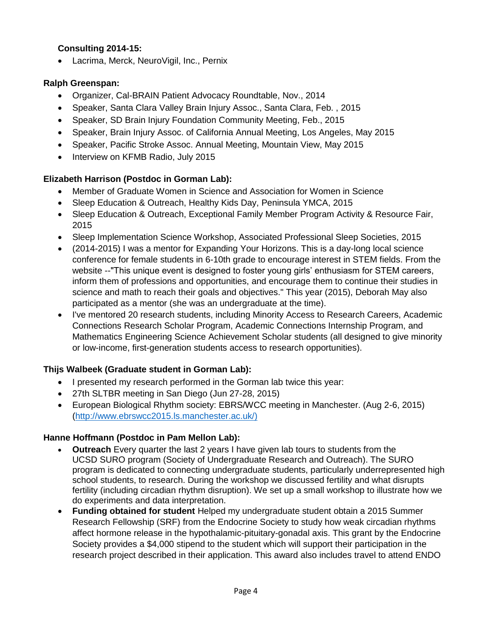### **Consulting 2014-15:**

Lacrima, Merck, NeuroVigil, Inc., Pernix

## **Ralph Greenspan:**

- Organizer, Cal-BRAIN Patient Advocacy Roundtable, Nov., 2014
- Speaker, Santa Clara Valley Brain Injury Assoc., Santa Clara, Feb. , 2015
- Speaker, SD Brain Injury Foundation Community Meeting, Feb., 2015
- Speaker, Brain Injury Assoc. of California Annual Meeting, Los Angeles, May 2015
- Speaker, Pacific Stroke Assoc. Annual Meeting, Mountain View, May 2015
- Interview on KFMB Radio, July 2015

## **Elizabeth Harrison (Postdoc in Gorman Lab):**

- Member of Graduate Women in Science and Association for Women in Science
- Sleep Education & Outreach, Healthy Kids Day, Peninsula YMCA, 2015
- Sleep Education & Outreach, Exceptional Family Member Program Activity & Resource Fair, 2015
- Sleep Implementation Science Workshop, Associated Professional Sleep Societies, 2015
- (2014-2015) I was a mentor for Expanding Your Horizons. This is a day-long local science conference for female students in 6-10th grade to encourage interest in STEM fields. From the website --"This unique event is designed to foster young girls' enthusiasm for STEM careers, inform them of professions and opportunities, and encourage them to continue their studies in science and math to reach their goals and objectives." This year (2015), Deborah May also participated as a mentor (she was an undergraduate at the time).
- I've mentored 20 research students, including Minority Access to Research Careers, Academic Connections Research Scholar Program, Academic Connections Internship Program, and Mathematics Engineering Science Achievement Scholar students (all designed to give minority or low-income, first-generation students access to research opportunities).

## **Thijs Walbeek (Graduate student in Gorman Lab):**

- I presented my research performed in the Gorman lab twice this year:
- 27th SLTBR meeting in San Diego (Jun 27-28, 2015)
- European Biological Rhythm society: EBRS/WCC meeting in Manchester. (Aug 2-6, 2015) [\(http://www.ebrswcc2015.ls.manchester.ac.uk/\)](http://www.ebrswcc2015.ls.manchester.ac.uk/))

## **Hanne Hoffmann (Postdoc in Pam Mellon Lab):**

- **Outreach** Every quarter the last 2 years I have given lab tours to students from the UCSD SURO program (Society of Undergraduate Research and Outreach). The SURO program is dedicated to connecting undergraduate students, particularly underrepresented high school students, to research. During the workshop we discussed fertility and what disrupts fertility (including circadian rhythm disruption). We set up a small workshop to illustrate how we do experiments and data interpretation.
- **Funding obtained for student** Helped my undergraduate student obtain a 2015 Summer Research Fellowship (SRF) from the Endocrine Society to study how weak circadian rhythms affect hormone release in the hypothalamic-pituitary-gonadal axis. This grant by the Endocrine Society provides a \$4,000 stipend to the student which will support their participation in the research project described in their application. This award also includes travel to attend ENDO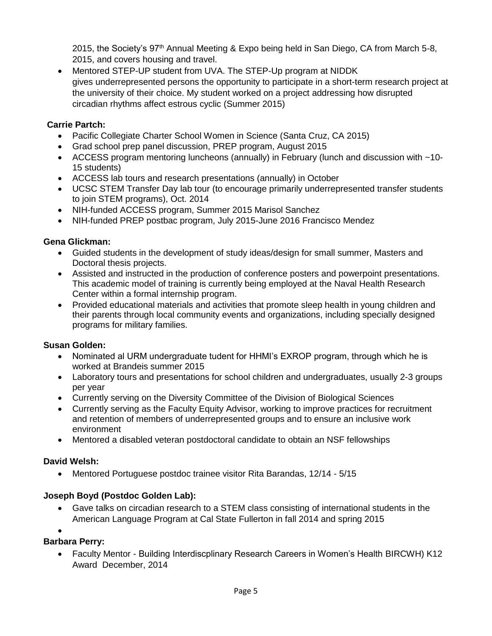2015, the Society's 97<sup>th</sup> Annual Meeting & Expo being held in San Diego, CA from March 5-8, 2015, and covers housing and travel.

 Mentored STEP-UP student from UVA. The STEP-Up program at NIDDK gives underrepresented persons the opportunity to participate in a short-term research project at the university of their choice. My student worked on a project addressing how disrupted circadian rhythms affect estrous cyclic (Summer 2015)

## **Carrie Partch:**

- Pacific Collegiate Charter School Women in Science (Santa Cruz, CA 2015)
- Grad school prep panel discussion, PREP program, August 2015
- ACCESS program mentoring luncheons (annually) in February (lunch and discussion with ~10- 15 students)
- ACCESS lab tours and research presentations (annually) in October
- UCSC STEM Transfer Day lab tour (to encourage primarily underrepresented transfer students to join STEM programs), Oct. 2014
- NIH-funded ACCESS program, Summer 2015 Marisol Sanchez
- NIH-funded PREP postbac program, July 2015-June 2016 Francisco Mendez

## **Gena Glickman:**

- Guided students in the development of study ideas/design for small summer, Masters and Doctoral thesis projects.
- Assisted and instructed in the production of conference posters and powerpoint presentations. This academic model of training is currently being employed at the Naval Health Research Center within a formal internship program.
- Provided educational materials and activities that promote sleep health in young children and their parents through local community events and organizations, including specially designed programs for military families.

### **Susan Golden:**

- Nominated al URM undergraduate tudent for HHMI's EXROP program, through which he is worked at Brandeis summer 2015
- Laboratory tours and presentations for school children and undergraduates, usually 2-3 groups per year
- Currently serving on the Diversity Committee of the Division of Biological Sciences
- Currently serving as the Faculty Equity Advisor, working to improve practices for recruitment and retention of members of underrepresented groups and to ensure an inclusive work environment
- Mentored a disabled veteran postdoctoral candidate to obtain an NSF fellowships

## **David Welsh:**

Mentored Portuguese postdoc trainee visitor Rita Barandas, 12/14 - 5/15

## **Joseph Boyd (Postdoc Golden Lab):**

 Gave talks on circadian research to a STEM class consisting of international students in the American Language Program at Cal State Fullerton in fall 2014 and spring 2015

### $\bullet$

## **Barbara Perry:**

 Faculty Mentor - Building Interdiscplinary Research Careers in Women's Health BIRCWH) K12 Award December, 2014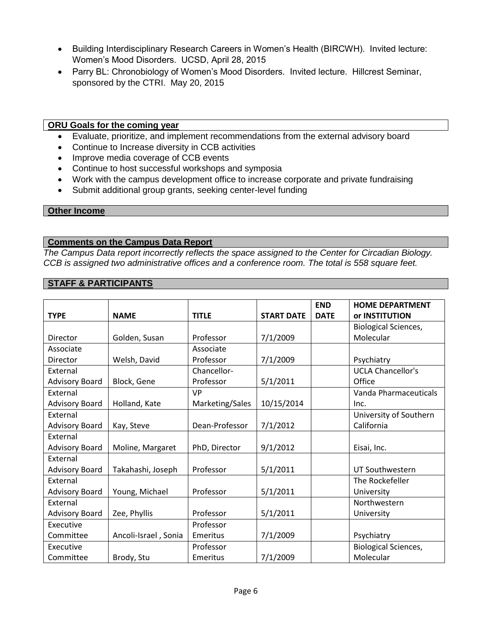- Building Interdisciplinary Research Careers in Women's Health (BIRCWH). Invited lecture: Women's Mood Disorders. UCSD, April 28, 2015
- Parry BL: Chronobiology of Women's Mood Disorders. Invited lecture. Hillcrest Seminar, sponsored by the CTRI. May 20, 2015

#### **ORU Goals for the coming year**

- Evaluate, prioritize, and implement recommendations from the external advisory board
- Continue to Increase diversity in CCB activities
- Improve media coverage of CCB events
- Continue to host successful workshops and symposia
- Work with the campus development office to increase corporate and private fundraising
- Submit additional group grants, seeking center-level funding

#### **Other Income**

#### **Comments on the Campus Data Report**

*The Campus Data report incorrectly reflects the space assigned to the Center for Circadian Biology. CCB is assigned two administrative offices and a conference room. The total is 558 square feet.*

#### **STAFF & PARTICIPANTS**

|                       |                      |                                   |            | <b>END</b>  | <b>HOME DEPARTMENT</b>      |
|-----------------------|----------------------|-----------------------------------|------------|-------------|-----------------------------|
| <b>TYPE</b>           | <b>NAME</b>          | <b>TITLE</b><br><b>START DATE</b> |            | <b>DATE</b> | or INSTITUTION              |
|                       |                      |                                   |            |             | <b>Biological Sciences,</b> |
| Director              | Golden, Susan        | Professor                         | 7/1/2009   |             | Molecular                   |
| Associate             |                      | Associate                         |            |             |                             |
| Director              | Welsh, David         | Professor                         | 7/1/2009   |             | Psychiatry                  |
| External              |                      | Chancellor-                       |            |             | <b>UCLA Chancellor's</b>    |
| <b>Advisory Board</b> | Block, Gene          | Professor                         | 5/1/2011   |             | Office                      |
| External              |                      | <b>VP</b>                         |            |             | Vanda Pharmaceuticals       |
| <b>Advisory Board</b> | Holland, Kate        | Marketing/Sales                   | 10/15/2014 |             | Inc.                        |
| External              |                      |                                   |            |             | University of Southern      |
| <b>Advisory Board</b> | Kay, Steve           | Dean-Professor                    | 7/1/2012   |             | California                  |
| External              |                      |                                   |            |             |                             |
| <b>Advisory Board</b> | Moline, Margaret     | PhD, Director                     | 9/1/2012   |             | Eisai, Inc.                 |
| External              |                      |                                   |            |             |                             |
| <b>Advisory Board</b> | Takahashi, Joseph    | Professor                         | 5/1/2011   |             | UT Southwestern             |
| External              |                      |                                   |            |             | The Rockefeller             |
| <b>Advisory Board</b> | Young, Michael       | Professor                         | 5/1/2011   |             | University                  |
| External              |                      |                                   |            |             | Northwestern                |
| <b>Advisory Board</b> | Zee, Phyllis         | Professor                         | 5/1/2011   |             | University                  |
| Executive             |                      | Professor                         |            |             |                             |
| Committee             | Ancoli-Israel, Sonia | Emeritus                          | 7/1/2009   |             | Psychiatry                  |
| Executive             |                      | Professor                         |            |             | <b>Biological Sciences,</b> |
| Committee             | Brody, Stu           | Emeritus                          | 7/1/2009   |             | Molecular                   |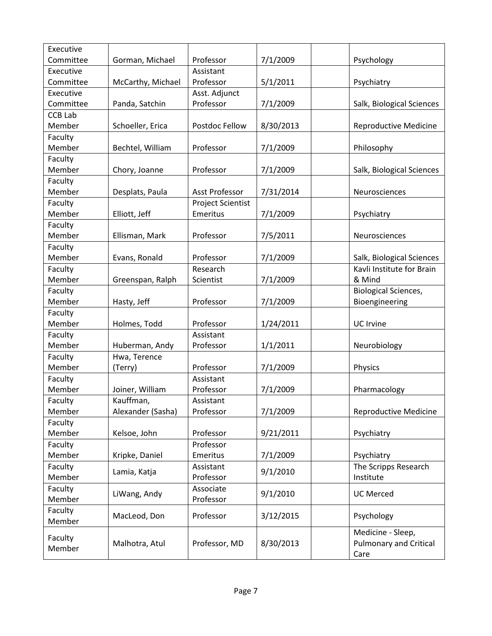| Executive      |                   |                   |           |                               |
|----------------|-------------------|-------------------|-----------|-------------------------------|
| Committee      | Gorman, Michael   | Professor         | 7/1/2009  | Psychology                    |
| Executive      | Assistant         |                   |           |                               |
| Committee      | McCarthy, Michael | Professor         | 5/1/2011  | Psychiatry                    |
| Executive      |                   | Asst. Adjunct     |           |                               |
| Committee      | Panda, Satchin    | Professor         | 7/1/2009  | Salk, Biological Sciences     |
| <b>CCB Lab</b> |                   |                   |           |                               |
| Member         | Schoeller, Erica  | Postdoc Fellow    | 8/30/2013 | <b>Reproductive Medicine</b>  |
| Faculty        |                   |                   |           |                               |
| Member         | Bechtel, William  | Professor         | 7/1/2009  | Philosophy                    |
| Faculty        |                   |                   |           |                               |
| Member         | Chory, Joanne     | Professor         | 7/1/2009  | Salk, Biological Sciences     |
| Faculty        |                   |                   |           |                               |
| Member         | Desplats, Paula   | Asst Professor    | 7/31/2014 | Neurosciences                 |
| Faculty        |                   | Project Scientist |           |                               |
| Member         | Elliott, Jeff     | Emeritus          | 7/1/2009  | Psychiatry                    |
| Faculty        |                   |                   |           |                               |
| Member         | Ellisman, Mark    | Professor         | 7/5/2011  | Neurosciences                 |
| Faculty        |                   |                   |           |                               |
| Member         | Evans, Ronald     | Professor         | 7/1/2009  | Salk, Biological Sciences     |
| Faculty        |                   | Research          |           | Kavli Institute for Brain     |
| Member         | Greenspan, Ralph  | Scientist         | 7/1/2009  | & Mind                        |
| Faculty        |                   |                   |           | <b>Biological Sciences,</b>   |
| Member         | Hasty, Jeff       | Professor         | 7/1/2009  | Bioengineering                |
| Faculty        |                   |                   |           |                               |
| Member         | Holmes, Todd      | Professor         | 1/24/2011 | <b>UC</b> Irvine              |
| Faculty        |                   | Assistant         |           |                               |
| Member         | Huberman, Andy    | Professor         | 1/1/2011  | Neurobiology                  |
| Faculty        | Hwa, Terence      |                   |           |                               |
| Member         | (Terry)           | Professor         | 7/1/2009  | Physics                       |
| Faculty        |                   | Assistant         |           |                               |
| Member         | Joiner, William   | Professor         | 7/1/2009  | Pharmacology                  |
| Faculty        | Kauffman,         | Assistant         |           |                               |
| Member         | Alexander (Sasha) | Professor         | 7/1/2009  | <b>Reproductive Medicine</b>  |
| Faculty        |                   |                   |           |                               |
| Member         | Kelsoe, John      | Professor         | 9/21/2011 | Psychiatry                    |
| Faculty        |                   | Professor         |           |                               |
| Member         | Kripke, Daniel    | Emeritus          | 7/1/2009  | Psychiatry                    |
| Faculty        | Lamia, Katja      | Assistant         | 9/1/2010  | The Scripps Research          |
| Member         |                   | Professor         |           | Institute                     |
| Faculty        | LiWang, Andy      | Associate         | 9/1/2010  | <b>UC Merced</b>              |
| Member         |                   | Professor         |           |                               |
| Faculty        | MacLeod, Don      | Professor         | 3/12/2015 | Psychology                    |
| Member         |                   |                   |           |                               |
| Faculty        |                   |                   |           | Medicine - Sleep,             |
| Member         | Malhotra, Atul    | Professor, MD     | 8/30/2013 | <b>Pulmonary and Critical</b> |
|                |                   |                   |           | Care                          |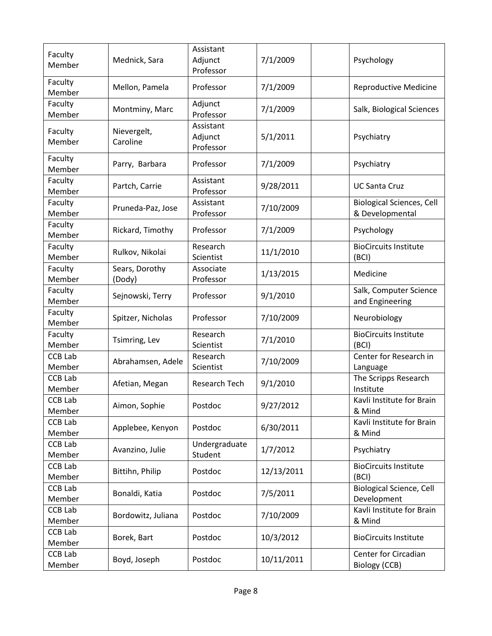| Faculty<br>Member        | Mednick, Sara            | Assistant<br>Adjunct<br>Professor | 7/1/2009   | Psychology                                          |
|--------------------------|--------------------------|-----------------------------------|------------|-----------------------------------------------------|
| Faculty<br>Member        | Mellon, Pamela           | Professor                         | 7/1/2009   | <b>Reproductive Medicine</b>                        |
| Faculty<br>Member        | Montminy, Marc           | Adjunct<br>Professor              | 7/1/2009   | Salk, Biological Sciences                           |
| Faculty<br>Member        | Nievergelt,<br>Caroline  | Assistant<br>Adjunct<br>Professor | 5/1/2011   | Psychiatry                                          |
| Faculty<br>Member        | Parry, Barbara           | Professor                         | 7/1/2009   | Psychiatry                                          |
| Faculty<br>Member        | Partch, Carrie           | Assistant<br>Professor            | 9/28/2011  | <b>UC Santa Cruz</b>                                |
| Faculty<br>Member        | Pruneda-Paz, Jose        | Assistant<br>Professor            | 7/10/2009  | <b>Biological Sciences, Cell</b><br>& Developmental |
| Faculty<br>Member        | Rickard, Timothy         | Professor                         | 7/1/2009   | Psychology                                          |
| Faculty<br>Member        | Rulkov, Nikolai          | Research<br>Scientist             | 11/1/2010  | <b>BioCircuits Institute</b><br>(BCI)               |
| Faculty<br>Member        | Sears, Dorothy<br>(Dody) | Associate<br>Professor            | 1/13/2015  | Medicine                                            |
| Faculty<br>Member        | Sejnowski, Terry         | Professor                         | 9/1/2010   | Salk, Computer Science<br>and Engineering           |
| Faculty<br>Member        | Spitzer, Nicholas        | Professor                         | 7/10/2009  | Neurobiology                                        |
| Faculty<br>Member        | Tsimring, Lev            | Research<br>Scientist             | 7/1/2010   | <b>BioCircuits Institute</b><br>(BCI)               |
| <b>CCB Lab</b><br>Member | Abrahamsen, Adele        | Research<br>Scientist             | 7/10/2009  | Center for Research in<br>Language                  |
| <b>CCB Lab</b><br>Member | Afetian, Megan           | Research Tech                     | 9/1/2010   | The Scripps Research<br>Institute                   |
| <b>CCB Lab</b><br>Member | Aimon, Sophie            | Postdoc                           | 9/27/2012  | Kavli Institute for Brain<br>& Mind                 |
| <b>CCB Lab</b><br>Member | Applebee, Kenyon         | Postdoc                           | 6/30/2011  | Kavli Institute for Brain<br>& Mind                 |
| <b>CCB Lab</b><br>Member | Avanzino, Julie          | Undergraduate<br>Student          | 1/7/2012   | Psychiatry                                          |
| <b>CCB Lab</b><br>Member | Bittihn, Philip          | Postdoc                           | 12/13/2011 | <b>BioCircuits Institute</b><br>(BCI)               |
| <b>CCB Lab</b><br>Member | Bonaldi, Katia           | Postdoc                           | 7/5/2011   | <b>Biological Science, Cell</b><br>Development      |
| <b>CCB Lab</b><br>Member | Bordowitz, Juliana       | Postdoc                           | 7/10/2009  | Kavli Institute for Brain<br>& Mind                 |
| <b>CCB Lab</b><br>Member | Borek, Bart              | Postdoc                           | 10/3/2012  | <b>BioCircuits Institute</b>                        |
| <b>CCB Lab</b><br>Member | Boyd, Joseph             | Postdoc                           | 10/11/2011 | Center for Circadian<br>Biology (CCB)               |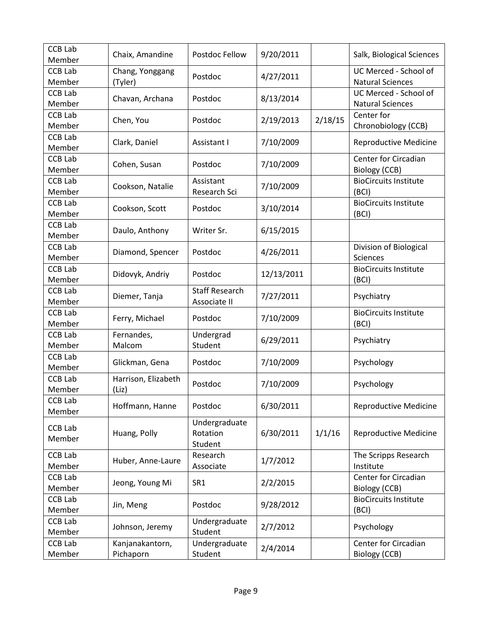| <b>CCB Lab</b><br>Member | Chaix, Amandine     | Postdoc Fellow<br>9/20/2011 |            | Salk, Biological Sciences |                              |
|--------------------------|---------------------|-----------------------------|------------|---------------------------|------------------------------|
| <b>CCB Lab</b>           | Chang, Yonggang     | 4/27/2011<br>Postdoc        |            |                           | UC Merced - School of        |
| Member                   | (Tyler)             |                             |            |                           | <b>Natural Sciences</b>      |
| <b>CCB Lab</b>           | Chavan, Archana     | Postdoc                     | 8/13/2014  |                           | UC Merced - School of        |
| Member                   |                     |                             |            |                           | <b>Natural Sciences</b>      |
| <b>CCB Lab</b>           | Chen, You           | Postdoc                     | 2/19/2013  | 2/18/15                   | Center for                   |
| Member                   |                     |                             |            |                           | Chronobiology (CCB)          |
| <b>CCB Lab</b>           | Clark, Daniel       | Assistant I                 | 7/10/2009  |                           | <b>Reproductive Medicine</b> |
| Member                   |                     |                             |            |                           |                              |
| <b>CCB Lab</b>           | Cohen, Susan        | Postdoc                     | 7/10/2009  |                           | Center for Circadian         |
| Member                   |                     |                             |            |                           | Biology (CCB)                |
| <b>CCB Lab</b>           |                     | Assistant                   |            |                           | <b>BioCircuits Institute</b> |
| Member                   | Cookson, Natalie    | Research Sci                | 7/10/2009  |                           | (BCI)                        |
| <b>CCB Lab</b>           |                     |                             |            |                           | <b>BioCircuits Institute</b> |
| Member                   | Cookson, Scott      | Postdoc                     | 3/10/2014  |                           | (BCI)                        |
| <b>CCB Lab</b>           |                     |                             |            |                           |                              |
| Member                   | Daulo, Anthony      | Writer Sr.                  | 6/15/2015  |                           |                              |
| <b>CCB Lab</b>           |                     |                             |            |                           | Division of Biological       |
| Member                   | Diamond, Spencer    | Postdoc                     | 4/26/2011  |                           | Sciences                     |
| <b>CCB Lab</b>           |                     |                             |            |                           | <b>BioCircuits Institute</b> |
| Member                   | Didovyk, Andriy     | Postdoc                     | 12/13/2011 |                           | (BCI)                        |
| <b>CCB Lab</b>           |                     | <b>Staff Research</b>       |            |                           |                              |
| Member                   | Diemer, Tanja       | Associate II                | 7/27/2011  |                           | Psychiatry                   |
| <b>CCB Lab</b>           |                     |                             |            |                           | <b>BioCircuits Institute</b> |
| Member                   | Ferry, Michael      | Postdoc                     | 7/10/2009  |                           | (BCI)                        |
| <b>CCB Lab</b>           | Fernandes,          | Undergrad                   |            |                           |                              |
| Member                   | Malcom              | Student                     | 6/29/2011  |                           | Psychiatry                   |
| <b>CCB Lab</b>           |                     |                             |            |                           |                              |
| Member                   | Glickman, Gena      | Postdoc                     | 7/10/2009  |                           | Psychology                   |
| <b>CCB Lab</b>           | Harrison, Elizabeth |                             |            |                           |                              |
| Member                   | (Liz)               | Postdoc                     | 7/10/2009  |                           | Psychology                   |
| CCB Lab                  |                     |                             |            |                           |                              |
| Member                   | Hoffmann, Hanne     | Postdoc                     | 6/30/2011  |                           | <b>Reproductive Medicine</b> |
|                          |                     | Undergraduate               |            |                           |                              |
| <b>CCB Lab</b>           | Huang, Polly        | Rotation                    | 6/30/2011  | 1/1/16                    | <b>Reproductive Medicine</b> |
| Member                   |                     | Student                     |            |                           |                              |
| <b>CCB Lab</b>           |                     | Research                    |            |                           | The Scripps Research         |
| Member                   | Huber, Anne-Laure   | Associate                   | 1/7/2012   |                           | Institute                    |
| CCB Lab                  |                     |                             |            |                           | Center for Circadian         |
| Member                   | Jeong, Young Mi     | SR1                         | 2/2/2015   |                           | Biology (CCB)                |
| <b>CCB Lab</b>           |                     |                             |            |                           | <b>BioCircuits Institute</b> |
| Member                   | Jin, Meng           | Postdoc                     | 9/28/2012  |                           | (BCI)                        |
| <b>CCB Lab</b>           |                     | Undergraduate               |            |                           |                              |
| Member                   | Johnson, Jeremy     | Student                     | 2/7/2012   |                           | Psychology                   |
|                          |                     |                             |            |                           | Center for Circadian         |
| CCB Lab                  | Kanjanakantorn,     | Undergraduate               | 2/4/2014   |                           |                              |
| Member                   | Pichaporn           | Student                     |            |                           | Biology (CCB)                |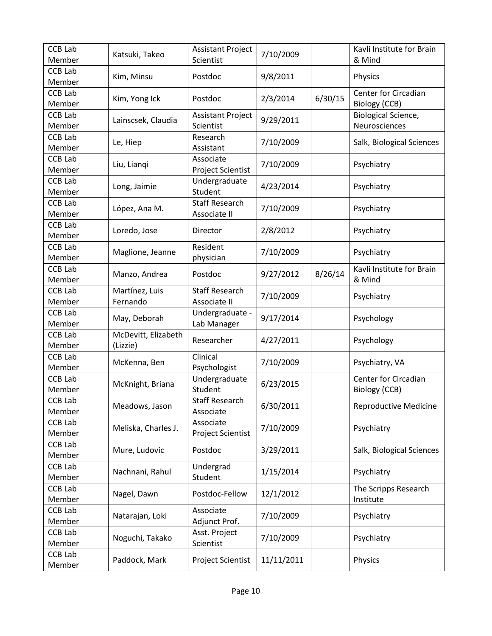| <b>CCB Lab</b><br>Member | Katsuki, Takeo                  | <b>Assistant Project</b><br>Scientist | 7/10/2009  |         | Kavli Institute for Brain<br>& Mind         |
|--------------------------|---------------------------------|---------------------------------------|------------|---------|---------------------------------------------|
| <b>CCB Lab</b><br>Member | Kim, Minsu                      | Postdoc                               | 9/8/2011   |         | Physics                                     |
| <b>CCB Lab</b><br>Member | Kim, Yong Ick                   | Postdoc                               | 2/3/2014   | 6/30/15 | Center for Circadian<br>Biology (CCB)       |
| <b>CCB Lab</b><br>Member | Lainscsek, Claudia              | <b>Assistant Project</b><br>Scientist | 9/29/2011  |         | <b>Biological Science,</b><br>Neurosciences |
| <b>CCB Lab</b><br>Member | Le, Hiep                        | Research<br>Assistant                 | 7/10/2009  |         | Salk, Biological Sciences                   |
| <b>CCB Lab</b><br>Member | Liu, Liangi                     | Associate<br>Project Scientist        | 7/10/2009  |         | Psychiatry                                  |
| <b>CCB Lab</b><br>Member | Long, Jaimie                    | Undergraduate<br>Student              | 4/23/2014  |         | Psychiatry                                  |
| <b>CCB Lab</b><br>Member | López, Ana M.                   | <b>Staff Research</b><br>Associate II | 7/10/2009  |         | Psychiatry                                  |
| <b>CCB Lab</b><br>Member | Loredo, Jose                    | Director                              | 2/8/2012   |         | Psychiatry                                  |
| <b>CCB Lab</b><br>Member | Maglione, Jeanne                | Resident<br>physician                 | 7/10/2009  |         | Psychiatry                                  |
| <b>CCB Lab</b><br>Member | Manzo, Andrea                   | Postdoc                               | 9/27/2012  | 8/26/14 | Kavli Institute for Brain<br>& Mind         |
| <b>CCB Lab</b><br>Member | Martínez, Luis<br>Fernando      | <b>Staff Research</b><br>Associate II | 7/10/2009  |         | Psychiatry                                  |
| <b>CCB Lab</b><br>Member | May, Deborah                    | Undergraduate -<br>Lab Manager        | 9/17/2014  |         | Psychology                                  |
| <b>CCB Lab</b><br>Member | McDevitt, Elizabeth<br>(Lizzie) | Researcher                            | 4/27/2011  |         | Psychology                                  |
| <b>CCB Lab</b><br>Member | McKenna, Ben                    | Clinical<br>Psychologist              | 7/10/2009  |         | Psychiatry, VA                              |
| <b>CCB Lab</b><br>Member | McKnight, Briana                | Undergraduate<br>Student              | 6/23/2015  |         | Center for Circadian<br>Biology (CCB)       |
| CCB Lab<br>Member        | Meadows, Jason                  | <b>Staff Research</b><br>Associate    | 6/30/2011  |         | <b>Reproductive Medicine</b>                |
| <b>CCB Lab</b><br>Member | Meliska, Charles J.             | Associate<br>Project Scientist        | 7/10/2009  |         | Psychiatry                                  |
| <b>CCB Lab</b><br>Member | Mure, Ludovic                   | Postdoc                               | 3/29/2011  |         | Salk, Biological Sciences                   |
| <b>CCB Lab</b><br>Member | Nachnani, Rahul                 | Undergrad<br>Student                  | 1/15/2014  |         | Psychiatry                                  |
| <b>CCB Lab</b><br>Member | Nagel, Dawn                     | Postdoc-Fellow                        | 12/1/2012  |         | The Scripps Research<br>Institute           |
| <b>CCB Lab</b><br>Member | Natarajan, Loki                 | Associate<br>Adjunct Prof.            | 7/10/2009  |         | Psychiatry                                  |
| <b>CCB Lab</b><br>Member | Noguchi, Takako                 | Asst. Project<br>Scientist            | 7/10/2009  |         | Psychiatry                                  |
| <b>CCB Lab</b><br>Member | Paddock, Mark                   | Project Scientist                     | 11/11/2011 |         | Physics                                     |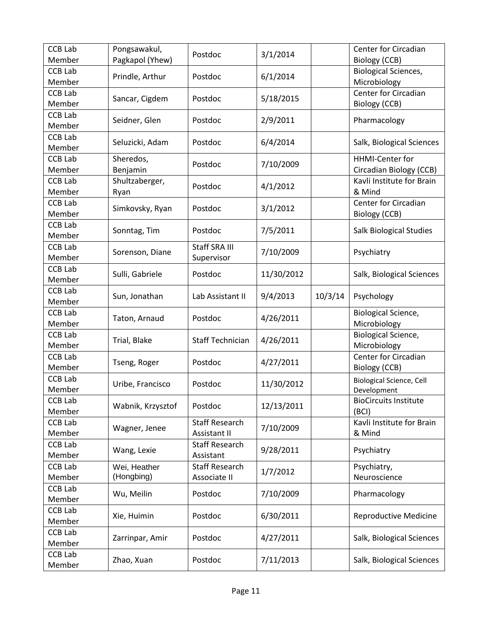| <b>CCB Lab</b><br>Member | Pongsawakul,      | Postdoc                 | 3/1/2014   |         | Center for Circadian            |
|--------------------------|-------------------|-------------------------|------------|---------|---------------------------------|
| <b>CCB Lab</b>           | Pagkapol (Yhew)   |                         |            |         | <b>Biology (CCB)</b>            |
|                          | Prindle, Arthur   | Postdoc                 | 6/1/2014   |         | <b>Biological Sciences,</b>     |
| Member                   |                   |                         |            |         | Microbiology                    |
| <b>CCB Lab</b>           | Sancar, Cigdem    | Postdoc                 | 5/18/2015  |         | Center for Circadian            |
| Member                   |                   |                         |            |         | Biology (CCB)                   |
| <b>CCB Lab</b>           | Seidner, Glen     | Postdoc                 | 2/9/2011   |         | Pharmacology                    |
| Member                   |                   |                         |            |         |                                 |
| <b>CCB Lab</b>           | Seluzicki, Adam   | Postdoc                 | 6/4/2014   |         | Salk, Biological Sciences       |
| Member                   |                   |                         |            |         |                                 |
| <b>CCB Lab</b>           | Sheredos,         | Postdoc                 | 7/10/2009  |         | <b>HHMI-Center for</b>          |
| Member                   | Benjamin          |                         |            |         | Circadian Biology (CCB)         |
| <b>CCB Lab</b>           | Shultzaberger,    | Postdoc                 | 4/1/2012   |         | Kavli Institute for Brain       |
| Member                   | Ryan              |                         |            |         | & Mind                          |
| <b>CCB Lab</b>           |                   | Postdoc                 |            |         | Center for Circadian            |
| Member                   | Simkovsky, Ryan   |                         | 3/1/2012   |         | Biology (CCB)                   |
| <b>CCB Lab</b>           |                   |                         |            |         |                                 |
| Member                   | Sonntag, Tim      | Postdoc                 | 7/5/2011   |         | <b>Salk Biological Studies</b>  |
| <b>CCB Lab</b>           |                   | Staff SRA III           |            |         |                                 |
| Member                   | Sorenson, Diane   | Supervisor              | 7/10/2009  |         | Psychiatry                      |
| <b>CCB Lab</b>           |                   |                         |            |         |                                 |
| Member                   | Sulli, Gabriele   | Postdoc                 | 11/30/2012 |         | Salk, Biological Sciences       |
| <b>CCB Lab</b>           |                   |                         |            |         |                                 |
| Member                   | Sun, Jonathan     | Lab Assistant II        | 9/4/2013   | 10/3/14 | Psychology                      |
|                          |                   |                         |            |         |                                 |
|                          |                   |                         |            |         |                                 |
| <b>CCB Lab</b>           | Taton, Arnaud     | Postdoc                 | 4/26/2011  |         | Biological Science,             |
| Member                   |                   |                         |            |         | Microbiology                    |
| <b>CCB Lab</b>           | Trial, Blake      | <b>Staff Technician</b> | 4/26/2011  |         | <b>Biological Science,</b>      |
| Member                   |                   |                         |            |         | Microbiology                    |
| <b>CCB Lab</b>           | Tseng, Roger      | Postdoc                 | 4/27/2011  |         | Center for Circadian            |
| Member                   |                   |                         |            |         | Biology (CCB)                   |
| <b>CCB Lab</b>           | Uribe, Francisco  | Postdoc                 | 11/30/2012 |         | <b>Biological Science, Cell</b> |
| Member                   |                   |                         |            |         | Development                     |
| <b>CCB Lab</b>           | Wabnik, Krzysztof | Postdoc                 | 12/13/2011 |         | <b>BioCircuits Institute</b>    |
| Member                   |                   |                         |            |         | (BCI)                           |
| <b>CCB Lab</b>           | Wagner, Jenee     | <b>Staff Research</b>   | 7/10/2009  |         | Kavli Institute for Brain       |
| Member                   |                   | Assistant II            |            |         | & Mind                          |
| <b>CCB Lab</b>           | Wang, Lexie       | <b>Staff Research</b>   | 9/28/2011  |         | Psychiatry                      |
| Member                   |                   | Assistant               |            |         |                                 |
| <b>CCB Lab</b>           | Wei, Heather      | <b>Staff Research</b>   | 1/7/2012   |         | Psychiatry,                     |
| Member                   | (Hongbing)        | Associate II            |            |         | Neuroscience                    |
| <b>CCB Lab</b>           | Wu, Meilin        | Postdoc                 | 7/10/2009  |         | Pharmacology                    |
| Member                   |                   |                         |            |         |                                 |
| CCB Lab                  | Xie, Huimin       | Postdoc                 | 6/30/2011  |         | <b>Reproductive Medicine</b>    |
| Member                   |                   |                         |            |         |                                 |
| <b>CCB Lab</b>           | Zarrinpar, Amir   | Postdoc                 | 4/27/2011  |         | Salk, Biological Sciences       |
| Member                   |                   |                         |            |         |                                 |
| CCB Lab<br>Member        | Zhao, Xuan        | Postdoc                 | 7/11/2013  |         | Salk, Biological Sciences       |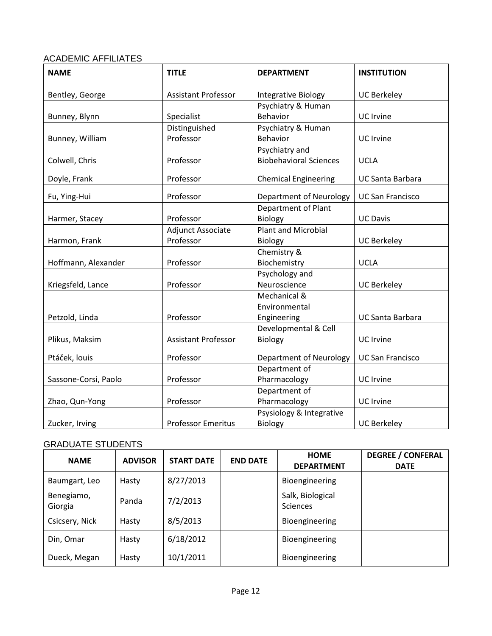## ACADEMIC AFFILIATES

| <b>NAME</b>          | <b>TITLE</b>               | <b>DEPARTMENT</b>              | <b>INSTITUTION</b>      |
|----------------------|----------------------------|--------------------------------|-------------------------|
| Bentley, George      | Assistant Professor        | <b>Integrative Biology</b>     | <b>UC Berkeley</b>      |
|                      |                            | Psychiatry & Human             |                         |
| Bunney, Blynn        | Specialist                 | Behavior                       | <b>UC</b> Irvine        |
|                      | Distinguished              | Psychiatry & Human             |                         |
| Bunney, William      | Professor                  | <b>Behavior</b>                | UC Irvine               |
|                      |                            | Psychiatry and                 |                         |
| Colwell, Chris       | Professor                  | <b>Biobehavioral Sciences</b>  | <b>UCLA</b>             |
| Doyle, Frank         | Professor                  | <b>Chemical Engineering</b>    | <b>UC Santa Barbara</b> |
| Fu, Ying-Hui         | Professor                  | Department of Neurology        | <b>UC San Francisco</b> |
|                      |                            | Department of Plant            |                         |
| Harmer, Stacey       | Professor                  | Biology                        | <b>UC Davis</b>         |
|                      | <b>Adjunct Associate</b>   | <b>Plant and Microbial</b>     |                         |
| Harmon, Frank        | Professor                  | <b>Biology</b>                 | <b>UC Berkeley</b>      |
|                      |                            | Chemistry &                    |                         |
| Hoffmann, Alexander  | Professor                  | Biochemistry                   | <b>UCLA</b>             |
|                      |                            | Psychology and                 |                         |
| Kriegsfeld, Lance    | Professor                  | Neuroscience                   | <b>UC Berkeley</b>      |
|                      |                            | Mechanical &                   |                         |
|                      |                            | Environmental                  |                         |
| Petzold, Linda       | Professor                  | Engineering                    | <b>UC Santa Barbara</b> |
|                      |                            | Developmental & Cell           |                         |
| Plikus, Maksim       | <b>Assistant Professor</b> | Biology                        | UC Irvine               |
| Ptáček, louis        | Professor                  | <b>Department of Neurology</b> | <b>UC San Francisco</b> |
|                      |                            | Department of                  |                         |
| Sassone-Corsi, Paolo | Professor                  | Pharmacology                   | UC Irvine               |
|                      |                            | Department of                  |                         |
| Zhao, Qun-Yong       | Professor                  | Pharmacology                   | <b>UC</b> Irvine        |
|                      |                            | Psysiology & Integrative       |                         |
| Zucker, Irving       | <b>Professor Emeritus</b>  | <b>Biology</b>                 | <b>UC Berkeley</b>      |

## GRADUATE STUDENTS

| <b>NAME</b>           | <b>ADVISOR</b> | <b>START DATE</b> | <b>END DATE</b> | <b>HOME</b><br><b>DEPARTMENT</b>    | <b>DEGREE / CONFERAL</b><br><b>DATE</b> |
|-----------------------|----------------|-------------------|-----------------|-------------------------------------|-----------------------------------------|
| Baumgart, Leo         | Hasty          | 8/27/2013         |                 | Bioengineering                      |                                         |
| Benegiamo,<br>Giorgia | Panda          | 7/2/2013          |                 | Salk, Biological<br><b>Sciences</b> |                                         |
| Csicsery, Nick        | Hasty          | 8/5/2013          |                 | Bioengineering                      |                                         |
| Din, Omar             | Hasty          | 6/18/2012         |                 | Bioengineering                      |                                         |
| Dueck, Megan          | Hasty          | 10/1/2011         |                 | Bioengineering                      |                                         |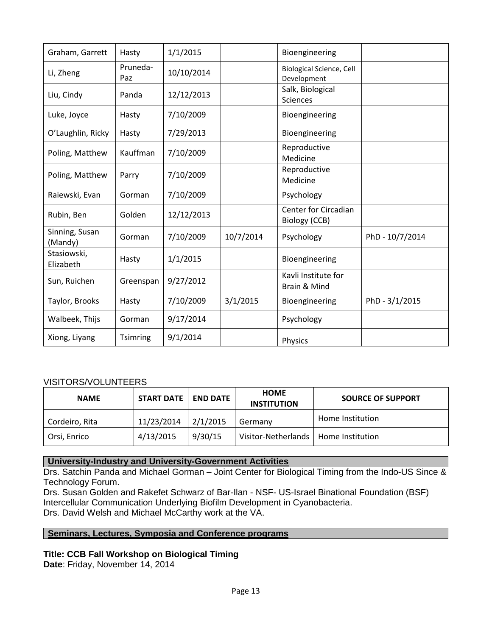| Graham, Garrett           | Hasty           | 1/1/2015   |           | Bioengineering                                 |                 |
|---------------------------|-----------------|------------|-----------|------------------------------------------------|-----------------|
| Li, Zheng                 | Pruneda-<br>Paz | 10/10/2014 |           | <b>Biological Science, Cell</b><br>Development |                 |
| Liu, Cindy                | Panda           | 12/12/2013 |           | Salk, Biological<br><b>Sciences</b>            |                 |
| Luke, Joyce               | Hasty           | 7/10/2009  |           | Bioengineering                                 |                 |
| O'Laughlin, Ricky         | Hasty           | 7/29/2013  |           | Bioengineering                                 |                 |
| Poling, Matthew           | Kauffman        | 7/10/2009  |           | Reproductive<br>Medicine                       |                 |
| Poling, Matthew           | Parry           | 7/10/2009  |           | Reproductive<br>Medicine                       |                 |
| Raiewski, Evan            | Gorman          | 7/10/2009  |           | Psychology                                     |                 |
| Rubin, Ben                | Golden          | 12/12/2013 |           | <b>Center for Circadian</b><br>Biology (CCB)   |                 |
| Sinning, Susan<br>(Mandy) | Gorman          | 7/10/2009  | 10/7/2014 | Psychology                                     | PhD - 10/7/2014 |
| Stasiowski,<br>Elizabeth  | Hasty           | 1/1/2015   |           | Bioengineering                                 |                 |
| Sun, Ruichen              | Greenspan       | 9/27/2012  |           | Kavli Institute for<br>Brain & Mind            |                 |
| Taylor, Brooks            | Hasty           | 7/10/2009  | 3/1/2015  | Bioengineering                                 | PhD - 3/1/2015  |
| Walbeek, Thijs            | Gorman          | 9/17/2014  |           | Psychology                                     |                 |
| Xiong, Liyang             | Tsimring        | 9/1/2014   |           | Physics                                        |                 |

#### VISITORS/VOLUNTEERS

| <b>NAME</b>    | <b>START DATE   END DATE</b> |          | <b>HOME</b><br><b>INSTITUTION</b>      | <b>SOURCE OF SUPPORT</b> |
|----------------|------------------------------|----------|----------------------------------------|--------------------------|
| Cordeiro, Rita | 11/23/2014                   | 2/1/2015 | Germany                                | Home Institution         |
| Orsi, Enrico   | 4/13/2015                    | 9/30/15  | Visitor-Netherlands   Home Institution |                          |

### **University-Industry and University-Government Activities**

Drs. Satchin Panda and Michael Gorman – Joint Center for Biological Timing from the Indo-US Since & Technology Forum.

Drs. Susan Golden and Rakefet Schwarz of Bar-Ilan - NSF- US-Israel Binational Foundation (BSF) Intercellular Communication Underlying Biofilm Development in Cyanobacteria. Drs. David Welsh and Michael McCarthy work at the VA.

#### **Seminars, Lectures, Symposia and Conference programs**

### **Title: CCB Fall Workshop on Biological Timing**

**Date**: Friday, November 14, 2014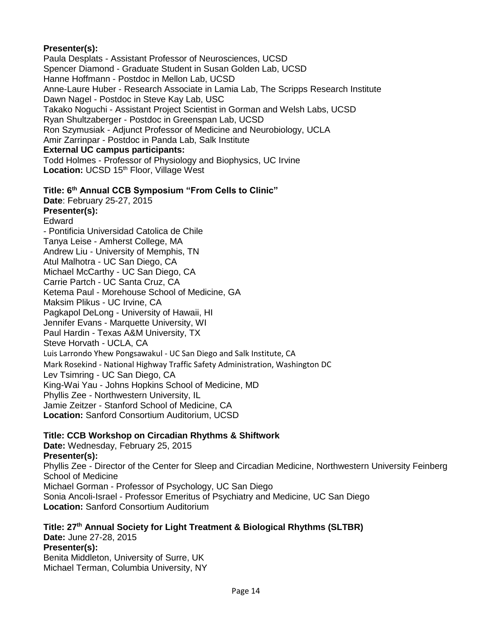### **Presenter(s):**

Paula Desplats - Assistant Professor of Neurosciences, UCSD Spencer Diamond - Graduate Student in Susan Golden Lab, UCSD Hanne Hoffmann - Postdoc in Mellon Lab, UCSD Anne-Laure Huber - Research Associate in Lamia Lab, The Scripps Research Institute Dawn Nagel - Postdoc in Steve Kay Lab, USC Takako Noguchi - Assistant Project Scientist in Gorman and Welsh Labs, UCSD Ryan Shultzaberger - Postdoc in Greenspan Lab, UCSD Ron Szymusiak - Adjunct Professor of Medicine and Neurobiology, UCLA Amir Zarrinpar - Postdoc in Panda Lab, Salk Institute **External UC campus participants:**  Todd Holmes - Professor of Physiology and Biophysics, UC Irvine

Location: UCSD 15<sup>th</sup> Floor, Village West

## **Title: 6th Annual CCB Symposium "From Cells to Clinic"**

**Date**: February 25-27, 2015

**Presenter(s):** 

Edward

- Pontificia Universidad Catolica de Chile Tanya Leise - Amherst College, MA Andrew Liu - University of Memphis, TN Atul Malhotra - UC San Diego, CA Michael McCarthy - UC San Diego, CA Carrie Partch - UC Santa Cruz, CA Ketema Paul - Morehouse School of Medicine, GA Maksim Plikus - UC Irvine, CA Pagkapol DeLong - University of Hawaii, HI Jennifer Evans - Marquette University, WI Paul Hardin - Texas A&M University, TX Steve Horvath - UCLA, CA Luis Larrondo Yhew Pongsawakul - UC San Diego and Salk Institute, CA Mark Rosekind - National Highway Traffic Safety Administration, Washington DC Lev Tsimring - UC San Diego, CA [King-Wai Yau](http://neuroscience.jhu.edu/resources/directory/faculty/King-Wai-Yau) - Johns Hopkins School of Medicine, MD Phyllis Zee - Northwestern University, IL Jamie Zeitzer - Stanford School of Medicine, CA **Location:** Sanford Consortium Auditorium, UCSD

### **Title: CCB Workshop on Circadian Rhythms & Shiftwork**

**Date:** Wednesday, February 25, 2015 **Presenter(s):**  Phyllis Zee - Director of the Center for Sleep and Circadian Medicine, Northwestern University Feinberg School of Medicine Michael Gorman - Professor of Psychology, UC San Diego Sonia Ancoli-Israel - Professor Emeritus of Psychiatry and Medicine, UC San Diego **Location:** Sanford Consortium Auditorium

**Title: 27th Annual Society for Light Treatment & Biological Rhythms (SLTBR) Date:** June 27-28, 2015 **Presenter(s):**  Benita Middleton, University of Surre, UK Michael Terman, Columbia University, NY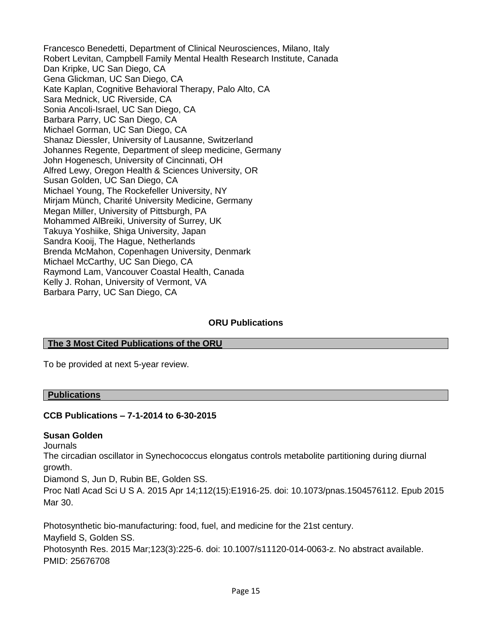Francesco Benedetti, Department of Clinical Neurosciences, Milano, Italy Robert Levitan, Campbell Family Mental Health Research Institute, Canada Dan Kripke, UC San Diego, CA Gena Glickman, UC San Diego, CA Kate Kaplan, Cognitive Behavioral Therapy, Palo Alto, CA Sara Mednick, UC Riverside, CA Sonia Ancoli-Israel, UC San Diego, CA Barbara Parry, UC San Diego, CA Michael Gorman, UC San Diego, CA Shanaz Diessler, University of Lausanne, Switzerland Johannes Regente, Department of sleep medicine, Germany John Hogenesch, University of Cincinnati, OH Alfred Lewy, Oregon Health & Sciences University, OR Susan Golden, UC San Diego, CA Michael Young, The Rockefeller University, NY Mirjam Münch, Charité University Medicine, Germany Megan Miller, University of Pittsburgh, PA Mohammed AlBreiki, University of Surrey, UK Takuya Yoshiike, Shiga University, Japan Sandra Kooij, The Hague, Netherlands Brenda McMahon, Copenhagen University, Denmark Michael McCarthy, UC San Diego, CA Raymond Lam, Vancouver Coastal Health, Canada Kelly J. Rohan, University of Vermont, VA Barbara Parry, UC San Diego, CA

### **ORU Publications**

#### **The 3 Most Cited Publications of the ORU**

To be provided at next 5-year review.

#### **Publications**

#### **CCB Publications – 7-1-2014 to 6-30-2015**

#### **Susan Golden**

Journals

The circadian oscillator in Synechococcus elongatus controls metabolite partitioning during diurnal growth.

Diamond S, Jun D, Rubin BE, Golden SS.

Proc Natl Acad Sci U S A. 2015 Apr 14;112(15):E1916-25. doi: 10.1073/pnas.1504576112. Epub 2015 Mar 30.

Photosynthetic bio-manufacturing: food, fuel, and medicine for the 21st century. Mayfield S, Golden SS. Photosynth Res. 2015 Mar;123(3):225-6. doi: 10.1007/s11120-014-0063-z. No abstract available.

PMID: 25676708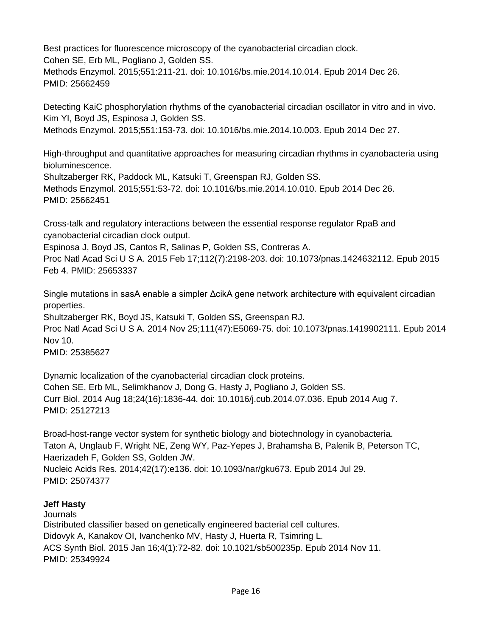Best practices for fluorescence microscopy of the cyanobacterial circadian clock. Cohen SE, Erb ML, Pogliano J, Golden SS. Methods Enzymol. 2015;551:211-21. doi: 10.1016/bs.mie.2014.10.014. Epub 2014 Dec 26. PMID: 25662459

Detecting KaiC phosphorylation rhythms of the cyanobacterial circadian oscillator in vitro and in vivo. Kim YI, Boyd JS, Espinosa J, Golden SS. Methods Enzymol. 2015;551:153-73. doi: 10.1016/bs.mie.2014.10.003. Epub 2014 Dec 27.

High-throughput and quantitative approaches for measuring circadian rhythms in cyanobacteria using bioluminescence.

Shultzaberger RK, Paddock ML, Katsuki T, Greenspan RJ, Golden SS.

Methods Enzymol. 2015;551:53-72. doi: 10.1016/bs.mie.2014.10.010. Epub 2014 Dec 26. PMID: 25662451

Cross-talk and regulatory interactions between the essential response regulator RpaB and cyanobacterial circadian clock output.

Espinosa J, Boyd JS, Cantos R, Salinas P, Golden SS, Contreras A.

Proc Natl Acad Sci U S A. 2015 Feb 17;112(7):2198-203. doi: 10.1073/pnas.1424632112. Epub 2015 Feb 4. PMID: 25653337

Single mutations in sasA enable a simpler ΔcikA gene network architecture with equivalent circadian properties.

Shultzaberger RK, Boyd JS, Katsuki T, Golden SS, Greenspan RJ. Proc Natl Acad Sci U S A. 2014 Nov 25;111(47):E5069-75. doi: 10.1073/pnas.1419902111. Epub 2014 Nov 10.

PMID: 25385627

Dynamic localization of the cyanobacterial circadian clock proteins. Cohen SE, Erb ML, Selimkhanov J, Dong G, Hasty J, Pogliano J, Golden SS. Curr Biol. 2014 Aug 18;24(16):1836-44. doi: 10.1016/j.cub.2014.07.036. Epub 2014 Aug 7. PMID: 25127213

Broad-host-range vector system for synthetic biology and biotechnology in cyanobacteria. Taton A, Unglaub F, Wright NE, Zeng WY, Paz-Yepes J, Brahamsha B, Palenik B, Peterson TC, Haerizadeh F, Golden SS, Golden JW. Nucleic Acids Res. 2014;42(17):e136. doi: 10.1093/nar/gku673. Epub 2014 Jul 29. PMID: 25074377

### **Jeff Hasty**

**Journals** 

Distributed classifier based on genetically engineered bacterial cell cultures. Didovyk A, Kanakov OI, Ivanchenko MV, Hasty J, Huerta R, Tsimring L. ACS Synth Biol. 2015 Jan 16;4(1):72-82. doi: 10.1021/sb500235p. Epub 2014 Nov 11. PMID: 25349924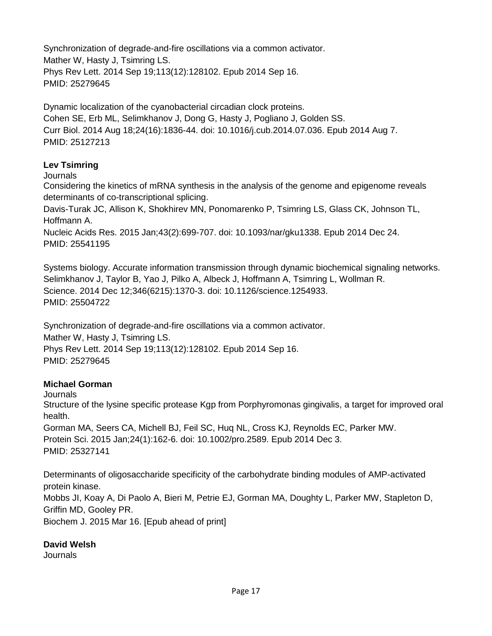Synchronization of degrade-and-fire oscillations via a common activator. Mather W, Hasty J, Tsimring LS. Phys Rev Lett. 2014 Sep 19;113(12):128102. Epub 2014 Sep 16. PMID: 25279645

Dynamic localization of the cyanobacterial circadian clock proteins. Cohen SE, Erb ML, Selimkhanov J, Dong G, Hasty J, Pogliano J, Golden SS. Curr Biol. 2014 Aug 18;24(16):1836-44. doi: 10.1016/j.cub.2014.07.036. Epub 2014 Aug 7. PMID: 25127213

### **Lev Tsimring**

**Journals** 

Considering the kinetics of mRNA synthesis in the analysis of the genome and epigenome reveals determinants of co-transcriptional splicing.

Davis-Turak JC, Allison K, Shokhirev MN, Ponomarenko P, Tsimring LS, Glass CK, Johnson TL, Hoffmann A.

Nucleic Acids Res. 2015 Jan;43(2):699-707. doi: 10.1093/nar/gku1338. Epub 2014 Dec 24. PMID: 25541195

Systems biology. Accurate information transmission through dynamic biochemical signaling networks. Selimkhanov J, Taylor B, Yao J, Pilko A, Albeck J, Hoffmann A, Tsimring L, Wollman R. Science. 2014 Dec 12;346(6215):1370-3. doi: 10.1126/science.1254933. PMID: 25504722

Synchronization of degrade-and-fire oscillations via a common activator.

Mather W, Hasty J, Tsimring LS. Phys Rev Lett. 2014 Sep 19;113(12):128102. Epub 2014 Sep 16. PMID: 25279645

## **Michael Gorman**

**Journals** 

Structure of the lysine specific protease Kgp from Porphyromonas gingivalis, a target for improved oral health.

Gorman MA, Seers CA, Michell BJ, Feil SC, Huq NL, Cross KJ, Reynolds EC, Parker MW. Protein Sci. 2015 Jan;24(1):162-6. doi: 10.1002/pro.2589. Epub 2014 Dec 3. PMID: 25327141

Determinants of oligosaccharide specificity of the carbohydrate binding modules of AMP-activated protein kinase. Mobbs JI, Koay A, Di Paolo A, Bieri M, Petrie EJ, Gorman MA, Doughty L, Parker MW, Stapleton D, Griffin MD, Gooley PR. Biochem J. 2015 Mar 16. [Epub ahead of print]

**David Welsh** 

**Journals**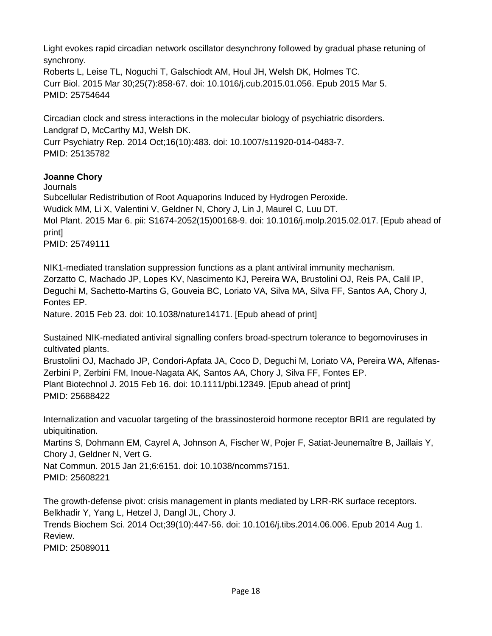Light evokes rapid circadian network oscillator desynchrony followed by gradual phase retuning of synchrony.

Roberts L, Leise TL, Noguchi T, Galschiodt AM, Houl JH, Welsh DK, Holmes TC. Curr Biol. 2015 Mar 30;25(7):858-67. doi: 10.1016/j.cub.2015.01.056. Epub 2015 Mar 5. PMID: 25754644

Circadian clock and stress interactions in the molecular biology of psychiatric disorders. Landgraf D, McCarthy MJ, Welsh DK.

Curr Psychiatry Rep. 2014 Oct;16(10):483. doi: 10.1007/s11920-014-0483-7. PMID: 25135782

## **Joanne Chory**

Journals Subcellular Redistribution of Root Aquaporins Induced by Hydrogen Peroxide. Wudick MM, Li X, Valentini V, Geldner N, Chory J, Lin J, Maurel C, Luu DT. Mol Plant. 2015 Mar 6. pii: S1674-2052(15)00168-9. doi: 10.1016/j.molp.2015.02.017. [Epub ahead of print] PMID: 25749111

NIK1-mediated translation suppression functions as a plant antiviral immunity mechanism. Zorzatto C, Machado JP, Lopes KV, Nascimento KJ, Pereira WA, Brustolini OJ, Reis PA, Calil IP, Deguchi M, Sachetto-Martins G, Gouveia BC, Loriato VA, Silva MA, Silva FF, Santos AA, Chory J, Fontes EP.

Nature. 2015 Feb 23. doi: 10.1038/nature14171. [Epub ahead of print]

Sustained NIK-mediated antiviral signalling confers broad-spectrum tolerance to begomoviruses in cultivated plants.

Brustolini OJ, Machado JP, Condori-Apfata JA, Coco D, Deguchi M, Loriato VA, Pereira WA, Alfenas-Zerbini P, Zerbini FM, Inoue-Nagata AK, Santos AA, Chory J, Silva FF, Fontes EP. Plant Biotechnol J. 2015 Feb 16. doi: 10.1111/pbi.12349. [Epub ahead of print] PMID: 25688422

Internalization and vacuolar targeting of the brassinosteroid hormone receptor BRI1 are regulated by ubiquitination.

Martins S, Dohmann EM, Cayrel A, Johnson A, Fischer W, Pojer F, Satiat-Jeunemaître B, Jaillais Y, Chory J, Geldner N, Vert G.

Nat Commun. 2015 Jan 21;6:6151. doi: 10.1038/ncomms7151. PMID: 25608221

The growth-defense pivot: crisis management in plants mediated by LRR-RK surface receptors. Belkhadir Y, Yang L, Hetzel J, Dangl JL, Chory J. Trends Biochem Sci. 2014 Oct;39(10):447-56. doi: 10.1016/j.tibs.2014.06.006. Epub 2014 Aug 1. Review.

PMID: 25089011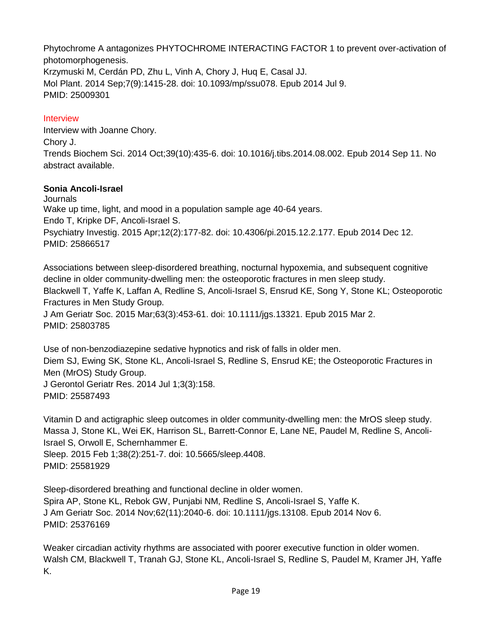Phytochrome A antagonizes PHYTOCHROME INTERACTING FACTOR 1 to prevent over-activation of photomorphogenesis. Krzymuski M, Cerdán PD, Zhu L, Vinh A, Chory J, Huq E, Casal JJ. Mol Plant. 2014 Sep;7(9):1415-28. doi: 10.1093/mp/ssu078. Epub 2014 Jul 9. PMID: 25009301

## Interview

Interview with Joanne Chory. Chory J. Trends Biochem Sci. 2014 Oct;39(10):435-6. doi: 10.1016/j.tibs.2014.08.002. Epub 2014 Sep 11. No abstract available.

### **Sonia Ancoli-Israel**

**Journals** Wake up time, light, and mood in a population sample age 40-64 years. Endo T, Kripke DF, Ancoli-Israel S. Psychiatry Investig. 2015 Apr;12(2):177-82. doi: 10.4306/pi.2015.12.2.177. Epub 2014 Dec 12. PMID: 25866517

Associations between sleep-disordered breathing, nocturnal hypoxemia, and subsequent cognitive decline in older community-dwelling men: the osteoporotic fractures in men sleep study. Blackwell T, Yaffe K, Laffan A, Redline S, Ancoli-Israel S, Ensrud KE, Song Y, Stone KL; Osteoporotic Fractures in Men Study Group. J Am Geriatr Soc. 2015 Mar;63(3):453-61. doi: 10.1111/jgs.13321. Epub 2015 Mar 2.

PMID: 25803785

Use of non-benzodiazepine sedative hypnotics and risk of falls in older men. Diem SJ, Ewing SK, Stone KL, Ancoli-Israel S, Redline S, Ensrud KE; the Osteoporotic Fractures in Men (MrOS) Study Group. J Gerontol Geriatr Res. 2014 Jul 1;3(3):158. PMID: 25587493

Vitamin D and actigraphic sleep outcomes in older community-dwelling men: the MrOS sleep study. Massa J, Stone KL, Wei EK, Harrison SL, Barrett-Connor E, Lane NE, Paudel M, Redline S, Ancoli-Israel S, Orwoll E, Schernhammer E.

Sleep. 2015 Feb 1;38(2):251-7. doi: 10.5665/sleep.4408. PMID: 25581929

Sleep-disordered breathing and functional decline in older women. Spira AP, Stone KL, Rebok GW, Punjabi NM, Redline S, Ancoli-Israel S, Yaffe K. J Am Geriatr Soc. 2014 Nov;62(11):2040-6. doi: 10.1111/jgs.13108. Epub 2014 Nov 6. PMID: 25376169

Weaker circadian activity rhythms are associated with poorer executive function in older women. Walsh CM, Blackwell T, Tranah GJ, Stone KL, Ancoli-Israel S, Redline S, Paudel M, Kramer JH, Yaffe K.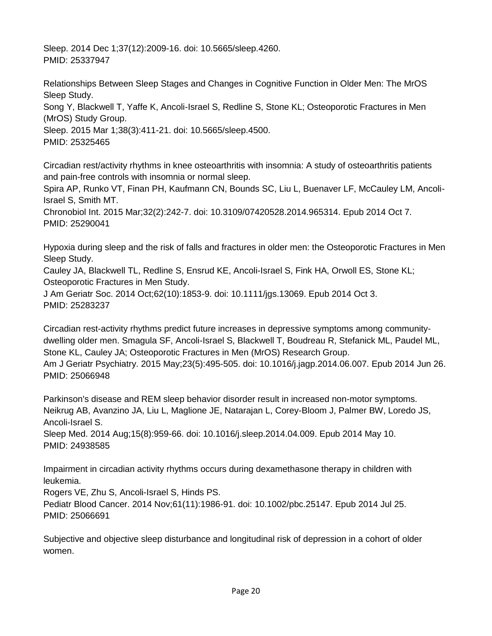Sleep. 2014 Dec 1;37(12):2009-16. doi: 10.5665/sleep.4260. PMID: 25337947

Relationships Between Sleep Stages and Changes in Cognitive Function in Older Men: The MrOS Sleep Study.

Song Y, Blackwell T, Yaffe K, Ancoli-Israel S, Redline S, Stone KL; Osteoporotic Fractures in Men (MrOS) Study Group.

Sleep. 2015 Mar 1;38(3):411-21. doi: 10.5665/sleep.4500. PMID: 25325465

Circadian rest/activity rhythms in knee osteoarthritis with insomnia: A study of osteoarthritis patients and pain-free controls with insomnia or normal sleep.

Spira AP, Runko VT, Finan PH, Kaufmann CN, Bounds SC, Liu L, Buenaver LF, McCauley LM, Ancoli-Israel S, Smith MT.

Chronobiol Int. 2015 Mar;32(2):242-7. doi: 10.3109/07420528.2014.965314. Epub 2014 Oct 7. PMID: 25290041

Hypoxia during sleep and the risk of falls and fractures in older men: the Osteoporotic Fractures in Men Sleep Study.

Cauley JA, Blackwell TL, Redline S, Ensrud KE, Ancoli-Israel S, Fink HA, Orwoll ES, Stone KL; Osteoporotic Fractures in Men Study.

J Am Geriatr Soc. 2014 Oct;62(10):1853-9. doi: 10.1111/jgs.13069. Epub 2014 Oct 3. PMID: 25283237

Circadian rest-activity rhythms predict future increases in depressive symptoms among communitydwelling older men. Smagula SF, Ancoli-Israel S, Blackwell T, Boudreau R, Stefanick ML, Paudel ML, Stone KL, Cauley JA; Osteoporotic Fractures in Men (MrOS) Research Group. Am J Geriatr Psychiatry. 2015 May;23(5):495-505. doi: 10.1016/j.jagp.2014.06.007. Epub 2014 Jun 26. PMID: 25066948

Parkinson's disease and REM sleep behavior disorder result in increased non-motor symptoms. Neikrug AB, Avanzino JA, Liu L, Maglione JE, Natarajan L, Corey-Bloom J, Palmer BW, Loredo JS, Ancoli-Israel S.

Sleep Med. 2014 Aug;15(8):959-66. doi: 10.1016/j.sleep.2014.04.009. Epub 2014 May 10. PMID: 24938585

Impairment in circadian activity rhythms occurs during dexamethasone therapy in children with leukemia.

Rogers VE, Zhu S, Ancoli-Israel S, Hinds PS. Pediatr Blood Cancer. 2014 Nov;61(11):1986-91. doi: 10.1002/pbc.25147. Epub 2014 Jul 25. PMID: 25066691

Subjective and objective sleep disturbance and longitudinal risk of depression in a cohort of older women.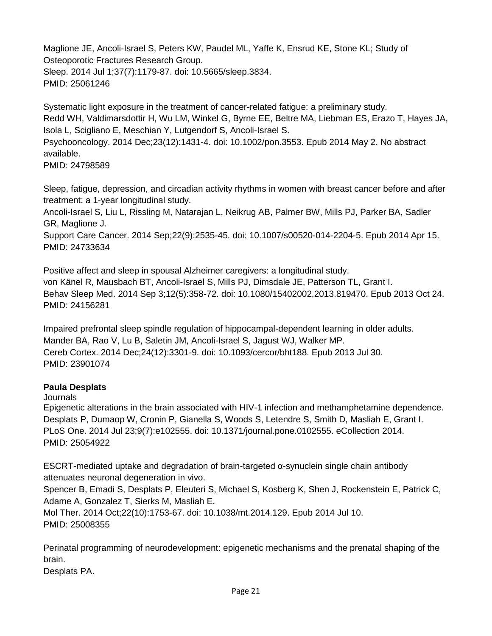Maglione JE, Ancoli-Israel S, Peters KW, Paudel ML, Yaffe K, Ensrud KE, Stone KL; Study of Osteoporotic Fractures Research Group. Sleep. 2014 Jul 1;37(7):1179-87. doi: 10.5665/sleep.3834.

```
PMID: 25061246
```
Systematic light exposure in the treatment of cancer-related fatigue: a preliminary study. Redd WH, Valdimarsdottir H, Wu LM, Winkel G, Byrne EE, Beltre MA, Liebman ES, Erazo T, Hayes JA, Isola L, Scigliano E, Meschian Y, Lutgendorf S, Ancoli-Israel S.

Psychooncology. 2014 Dec;23(12):1431-4. doi: 10.1002/pon.3553. Epub 2014 May 2. No abstract available.

PMID: 24798589

Sleep, fatigue, depression, and circadian activity rhythms in women with breast cancer before and after treatment: a 1-year longitudinal study.

Ancoli-Israel S, Liu L, Rissling M, Natarajan L, Neikrug AB, Palmer BW, Mills PJ, Parker BA, Sadler GR, Maglione J.

Support Care Cancer. 2014 Sep;22(9):2535-45. doi: 10.1007/s00520-014-2204-5. Epub 2014 Apr 15. PMID: 24733634

Positive affect and sleep in spousal Alzheimer caregivers: a longitudinal study. von Känel R, Mausbach BT, Ancoli-Israel S, Mills PJ, Dimsdale JE, Patterson TL, Grant I. Behav Sleep Med. 2014 Sep 3;12(5):358-72. doi: 10.1080/15402002.2013.819470. Epub 2013 Oct 24. PMID: 24156281

Impaired prefrontal sleep spindle regulation of hippocampal-dependent learning in older adults. Mander BA, Rao V, Lu B, Saletin JM, Ancoli-Israel S, Jagust WJ, Walker MP. Cereb Cortex. 2014 Dec;24(12):3301-9. doi: 10.1093/cercor/bht188. Epub 2013 Jul 30. PMID: 23901074

# **Paula Desplats**

# **Journals**

Epigenetic alterations in the brain associated with HIV-1 infection and methamphetamine dependence. Desplats P, Dumaop W, Cronin P, Gianella S, Woods S, Letendre S, Smith D, Masliah E, Grant I. PLoS One. 2014 Jul 23;9(7):e102555. doi: 10.1371/journal.pone.0102555. eCollection 2014. PMID: 25054922

ESCRT-mediated uptake and degradation of brain-targeted α-synuclein single chain antibody attenuates neuronal degeneration in vivo. Spencer B, Emadi S, Desplats P, Eleuteri S, Michael S, Kosberg K, Shen J, Rockenstein E, Patrick C,

Adame A, Gonzalez T, Sierks M, Masliah E. Mol Ther. 2014 Oct;22(10):1753-67. doi: 10.1038/mt.2014.129. Epub 2014 Jul 10. PMID: 25008355

Perinatal programming of neurodevelopment: epigenetic mechanisms and the prenatal shaping of the brain.

Desplats PA.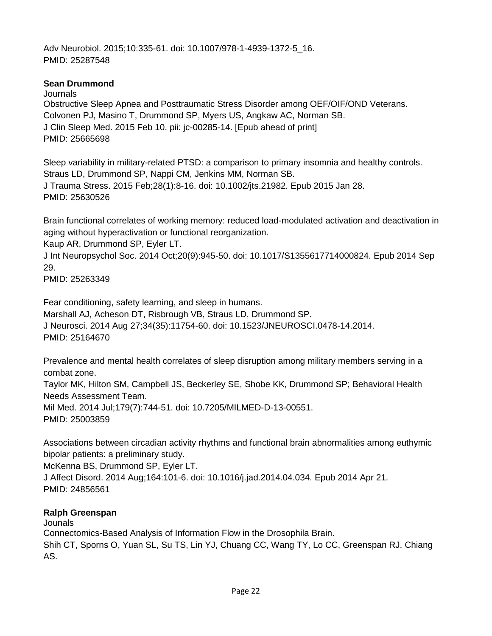Adv Neurobiol. 2015;10:335-61. doi: 10.1007/978-1-4939-1372-5\_16. PMID: 25287548

### **Sean Drummond**

**Journals** Obstructive Sleep Apnea and Posttraumatic Stress Disorder among OEF/OIF/OND Veterans. Colvonen PJ, Masino T, Drummond SP, Myers US, Angkaw AC, Norman SB. J Clin Sleep Med. 2015 Feb 10. pii: jc-00285-14. [Epub ahead of print] PMID: 25665698

Sleep variability in military-related PTSD: a comparison to primary insomnia and healthy controls. Straus LD, Drummond SP, Nappi CM, Jenkins MM, Norman SB. J Trauma Stress. 2015 Feb;28(1):8-16. doi: 10.1002/jts.21982. Epub 2015 Jan 28. PMID: 25630526

Brain functional correlates of working memory: reduced load-modulated activation and deactivation in aging without hyperactivation or functional reorganization.

Kaup AR, Drummond SP, Eyler LT.

J Int Neuropsychol Soc. 2014 Oct;20(9):945-50. doi: 10.1017/S1355617714000824. Epub 2014 Sep 29.

PMID: 25263349

Fear conditioning, safety learning, and sleep in humans. Marshall AJ, Acheson DT, Risbrough VB, Straus LD, Drummond SP. J Neurosci. 2014 Aug 27;34(35):11754-60. doi: 10.1523/JNEUROSCI.0478-14.2014. PMID: 25164670

Prevalence and mental health correlates of sleep disruption among military members serving in a combat zone.

Taylor MK, Hilton SM, Campbell JS, Beckerley SE, Shobe KK, Drummond SP; Behavioral Health Needs Assessment Team.

Mil Med. 2014 Jul;179(7):744-51. doi: 10.7205/MILMED-D-13-00551. PMID: 25003859

Associations between circadian activity rhythms and functional brain abnormalities among euthymic bipolar patients: a preliminary study.

McKenna BS, Drummond SP, Eyler LT.

J Affect Disord. 2014 Aug;164:101-6. doi: 10.1016/j.jad.2014.04.034. Epub 2014 Apr 21. PMID: 24856561

### **Ralph Greenspan**

Jounals Connectomics-Based Analysis of Information Flow in the Drosophila Brain.

Shih CT, Sporns O, Yuan SL, Su TS, Lin YJ, Chuang CC, Wang TY, Lo CC, Greenspan RJ, Chiang AS.